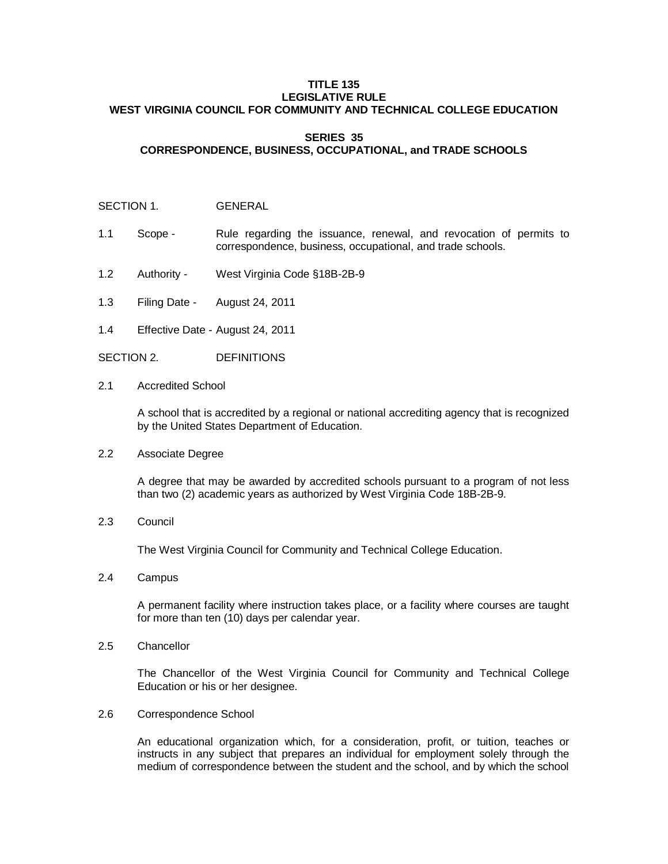#### **TITLE 135 LEGISLATIVE RULE WEST VIRGINIA COUNCIL FOR COMMUNITY AND TECHNICAL COLLEGE EDUCATION**

# **SERIES 35 CORRESPONDENCE, BUSINESS, OCCUPATIONAL, and TRADE SCHOOLS**

#### SECTION 1. **GENERAL**

- 1.1 Scope Rule regarding the issuance, renewal, and revocation of permits to correspondence, business, occupational, and trade schools.
- 1.2 Authority West Virginia Code §18B-2B-9
- 1.3 Filing Date August 24, 2011
- 1.4 Effective Date August 24, 2011

SECTION 2. DEFINITIONS

2.1 Accredited School

A school that is accredited by a regional or national accrediting agency that is recognized by the United States Department of Education.

2.2 Associate Degree

A degree that may be awarded by accredited schools pursuant to a program of not less than two (2) academic years as authorized by West Virginia Code 18B-2B-9.

2.3 Council

The West Virginia Council for Community and Technical College Education.

2.4 Campus

A permanent facility where instruction takes place, or a facility where courses are taught for more than ten (10) days per calendar year.

2.5 Chancellor

The Chancellor of the West Virginia Council for Community and Technical College Education or his or her designee.

2.6 Correspondence School

An educational organization which, for a consideration, profit, or tuition, teaches or instructs in any subject that prepares an individual for employment solely through the medium of correspondence between the student and the school, and by which the school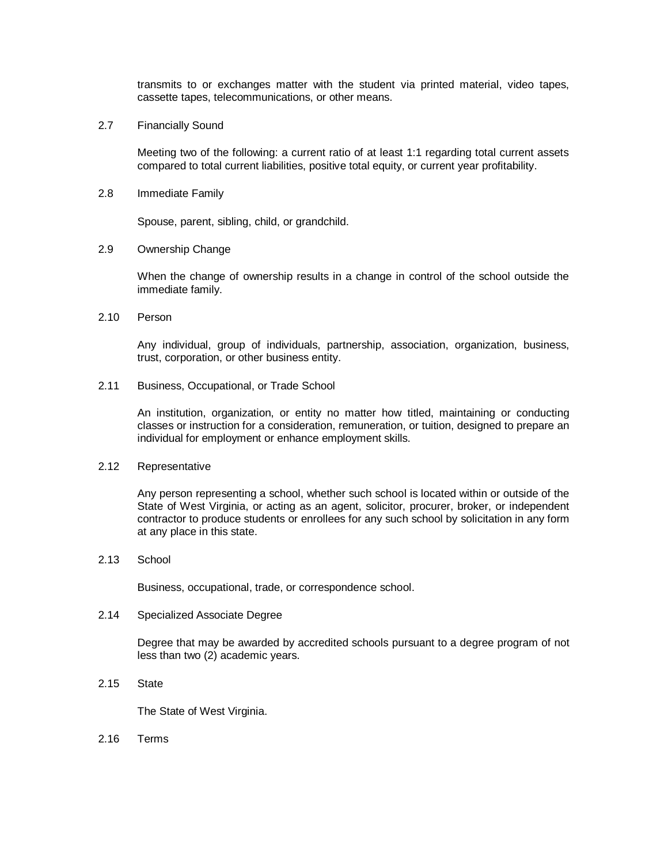transmits to or exchanges matter with the student via printed material, video tapes, cassette tapes, telecommunications, or other means.

2.7 Financially Sound

Meeting two of the following: a current ratio of at least 1:1 regarding total current assets compared to total current liabilities, positive total equity, or current year profitability.

2.8 Immediate Family

Spouse, parent, sibling, child, or grandchild.

2.9 Ownership Change

When the change of ownership results in a change in control of the school outside the immediate family.

2.10 Person

Any individual, group of individuals, partnership, association, organization, business, trust, corporation, or other business entity.

2.11 Business, Occupational, or Trade School

An institution, organization, or entity no matter how titled, maintaining or conducting classes or instruction for a consideration, remuneration, or tuition, designed to prepare an individual for employment or enhance employment skills.

2.12 Representative

Any person representing a school, whether such school is located within or outside of the State of West Virginia, or acting as an agent, solicitor, procurer, broker, or independent contractor to produce students or enrollees for any such school by solicitation in any form at any place in this state.

2.13 School

Business, occupational, trade, or correspondence school.

2.14 Specialized Associate Degree

Degree that may be awarded by accredited schools pursuant to a degree program of not less than two (2) academic years.

2.15 State

The State of West Virginia.

2.16 Terms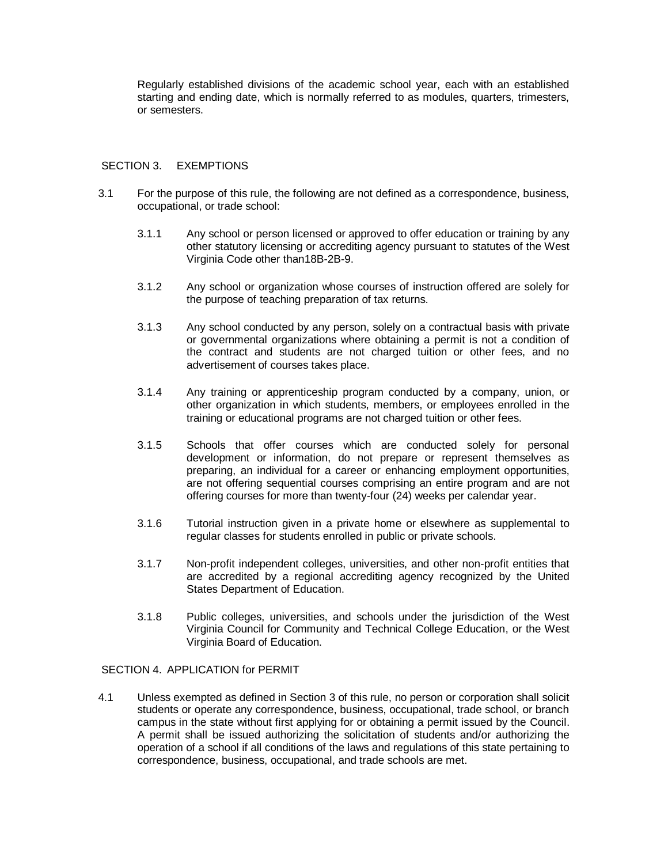Regularly established divisions of the academic school year, each with an established starting and ending date, which is normally referred to as modules, quarters, trimesters, or semesters.

## SECTION 3. EXEMPTIONS

- 3.1 For the purpose of this rule, the following are not defined as a correspondence, business, occupational, or trade school:
	- 3.1.1 Any school or person licensed or approved to offer education or training by any other statutory licensing or accrediting agency pursuant to statutes of the West Virginia Code other than18B-2B-9.
	- 3.1.2 Any school or organization whose courses of instruction offered are solely for the purpose of teaching preparation of tax returns.
	- 3.1.3 Any school conducted by any person, solely on a contractual basis with private or governmental organizations where obtaining a permit is not a condition of the contract and students are not charged tuition or other fees, and no advertisement of courses takes place.
	- 3.1.4 Any training or apprenticeship program conducted by a company, union, or other organization in which students, members, or employees enrolled in the training or educational programs are not charged tuition or other fees.
	- 3.1.5 Schools that offer courses which are conducted solely for personal development or information, do not prepare or represent themselves as preparing, an individual for a career or enhancing employment opportunities, are not offering sequential courses comprising an entire program and are not offering courses for more than twenty-four (24) weeks per calendar year.
	- 3.1.6 Tutorial instruction given in a private home or elsewhere as supplemental to regular classes for students enrolled in public or private schools.
	- 3.1.7 Non-profit independent colleges, universities, and other non-profit entities that are accredited by a regional accrediting agency recognized by the United States Department of Education.
	- 3.1.8 Public colleges, universities, and schools under the jurisdiction of the West Virginia Council for Community and Technical College Education, or the West Virginia Board of Education.

## SECTION 4. APPLICATION for PERMIT

4.1 Unless exempted as defined in Section 3 of this rule, no person or corporation shall solicit students or operate any correspondence, business, occupational, trade school, or branch campus in the state without first applying for or obtaining a permit issued by the Council. A permit shall be issued authorizing the solicitation of students and/or authorizing the operation of a school if all conditions of the laws and regulations of this state pertaining to correspondence, business, occupational, and trade schools are met.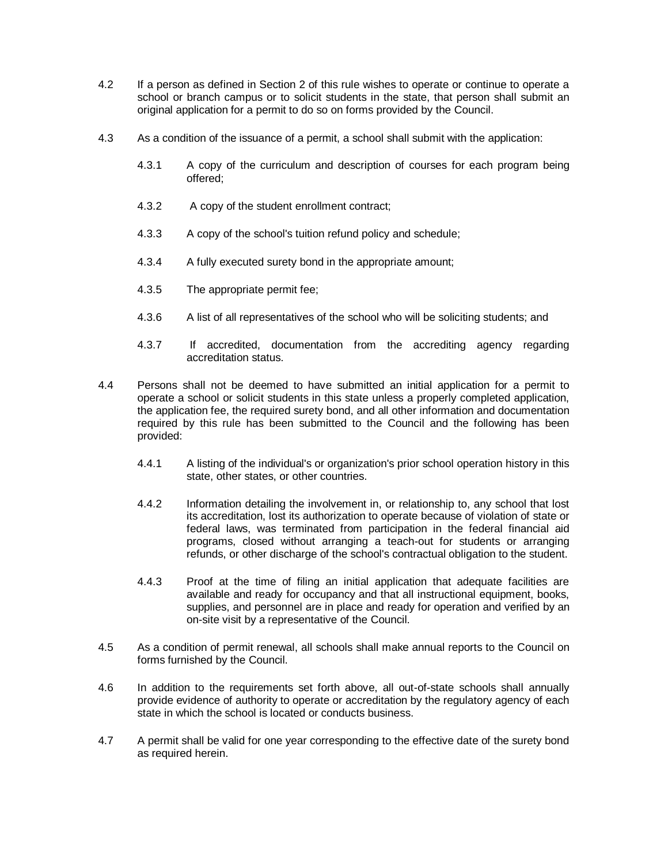- 4.2 If a person as defined in Section 2 of this rule wishes to operate or continue to operate a school or branch campus or to solicit students in the state, that person shall submit an original application for a permit to do so on forms provided by the Council.
- 4.3 As a condition of the issuance of a permit, a school shall submit with the application:
	- 4.3.1 A copy of the curriculum and description of courses for each program being offered;
	- 4.3.2 A copy of the student enrollment contract;
	- 4.3.3 A copy of the school's tuition refund policy and schedule;
	- 4.3.4 A fully executed surety bond in the appropriate amount;
	- 4.3.5 The appropriate permit fee;
	- 4.3.6 A list of all representatives of the school who will be soliciting students; and
	- 4.3.7 If accredited, documentation from the accrediting agency regarding accreditation status.
- 4.4 Persons shall not be deemed to have submitted an initial application for a permit to operate a school or solicit students in this state unless a properly completed application, the application fee, the required surety bond, and all other information and documentation required by this rule has been submitted to the Council and the following has been provided:
	- 4.4.1 A listing of the individual's or organization's prior school operation history in this state, other states, or other countries.
	- 4.4.2 Information detailing the involvement in, or relationship to, any school that lost its accreditation, lost its authorization to operate because of violation of state or federal laws, was terminated from participation in the federal financial aid programs, closed without arranging a teach-out for students or arranging refunds, or other discharge of the school's contractual obligation to the student.
	- 4.4.3 Proof at the time of filing an initial application that adequate facilities are available and ready for occupancy and that all instructional equipment, books, supplies, and personnel are in place and ready for operation and verified by an on-site visit by a representative of the Council.
- 4.5 As a condition of permit renewal, all schools shall make annual reports to the Council on forms furnished by the Council.
- 4.6 In addition to the requirements set forth above, all out-of-state schools shall annually provide evidence of authority to operate or accreditation by the regulatory agency of each state in which the school is located or conducts business.
- 4.7 A permit shall be valid for one year corresponding to the effective date of the surety bond as required herein.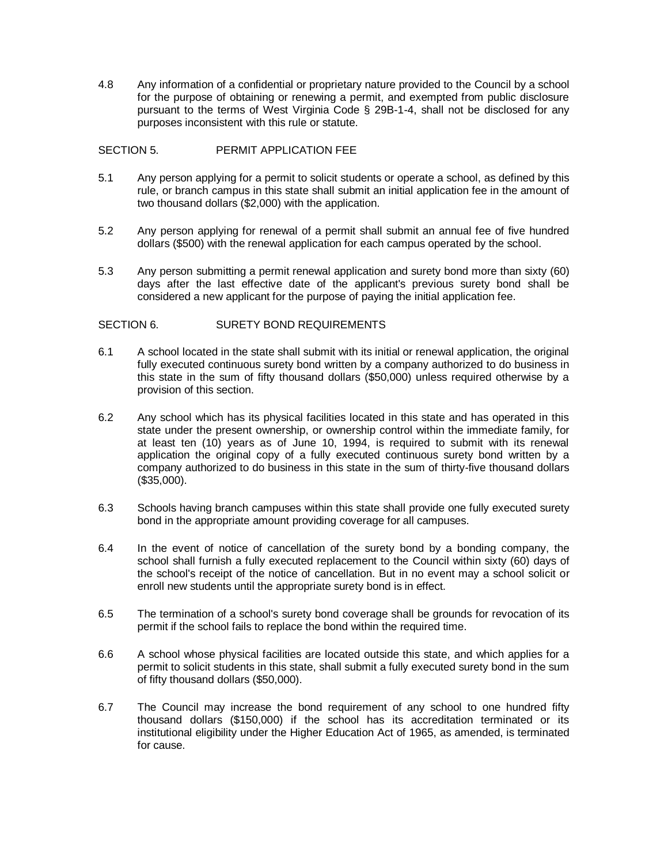4.8 Any information of a confidential or proprietary nature provided to the Council by a school for the purpose of obtaining or renewing a permit, and exempted from public disclosure pursuant to the terms of West Virginia Code § 29B-1-4, shall not be disclosed for any purposes inconsistent with this rule or statute.

# SECTION 5. PERMIT APPLICATION FEE

- 5.1 Any person applying for a permit to solicit students or operate a school, as defined by this rule, or branch campus in this state shall submit an initial application fee in the amount of two thousand dollars (\$2,000) with the application.
- 5.2 Any person applying for renewal of a permit shall submit an annual fee of five hundred dollars (\$500) with the renewal application for each campus operated by the school.
- 5.3 Any person submitting a permit renewal application and surety bond more than sixty (60) days after the last effective date of the applicant's previous surety bond shall be considered a new applicant for the purpose of paying the initial application fee.

## SECTION 6. SURETY BOND REQUIREMENTS

- 6.1 A school located in the state shall submit with its initial or renewal application, the original fully executed continuous surety bond written by a company authorized to do business in this state in the sum of fifty thousand dollars (\$50,000) unless required otherwise by a provision of this section.
- 6.2 Any school which has its physical facilities located in this state and has operated in this state under the present ownership, or ownership control within the immediate family, for at least ten (10) years as of June 10, 1994, is required to submit with its renewal application the original copy of a fully executed continuous surety bond written by a company authorized to do business in this state in the sum of thirty-five thousand dollars (\$35,000).
- 6.3 Schools having branch campuses within this state shall provide one fully executed surety bond in the appropriate amount providing coverage for all campuses.
- 6.4 In the event of notice of cancellation of the surety bond by a bonding company, the school shall furnish a fully executed replacement to the Council within sixty (60) days of the school's receipt of the notice of cancellation. But in no event may a school solicit or enroll new students until the appropriate surety bond is in effect.
- 6.5 The termination of a school's surety bond coverage shall be grounds for revocation of its permit if the school fails to replace the bond within the required time.
- 6.6 A school whose physical facilities are located outside this state, and which applies for a permit to solicit students in this state, shall submit a fully executed surety bond in the sum of fifty thousand dollars (\$50,000).
- 6.7 The Council may increase the bond requirement of any school to one hundred fifty thousand dollars (\$150,000) if the school has its accreditation terminated or its institutional eligibility under the Higher Education Act of 1965, as amended, is terminated for cause.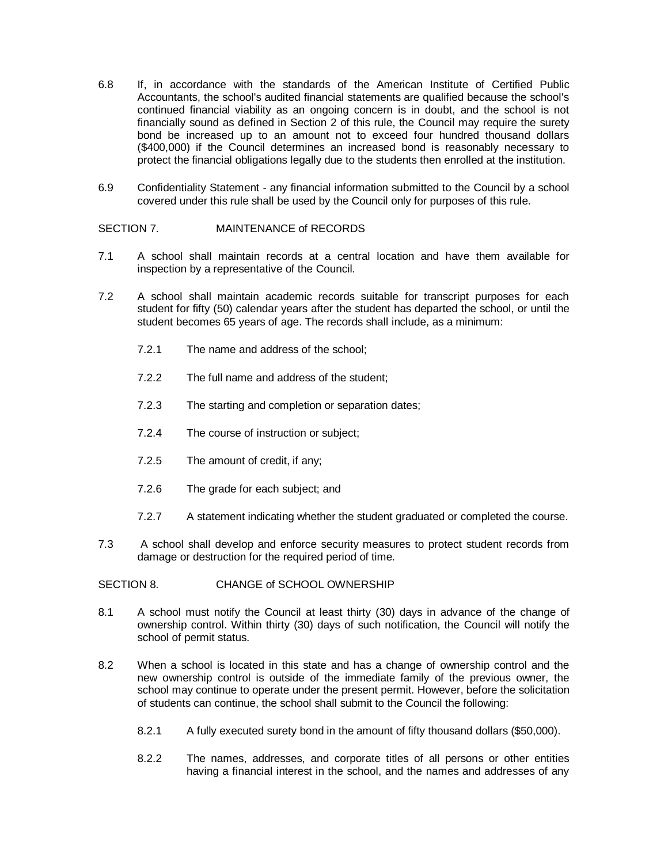- 6.8 If, in accordance with the standards of the American Institute of Certified Public Accountants, the school's audited financial statements are qualified because the school's continued financial viability as an ongoing concern is in doubt, and the school is not financially sound as defined in Section 2 of this rule, the Council may require the surety bond be increased up to an amount not to exceed four hundred thousand dollars (\$400,000) if the Council determines an increased bond is reasonably necessary to protect the financial obligations legally due to the students then enrolled at the institution.
- 6.9 Confidentiality Statement any financial information submitted to the Council by a school covered under this rule shall be used by the Council only for purposes of this rule.

## SECTION 7. MAINTENANCE of RECORDS

- 7.1 A school shall maintain records at a central location and have them available for inspection by a representative of the Council.
- 7.2 A school shall maintain academic records suitable for transcript purposes for each student for fifty (50) calendar years after the student has departed the school, or until the student becomes 65 years of age. The records shall include, as a minimum:
	- 7.2.1 The name and address of the school;
	- 7.2.2 The full name and address of the student;
	- 7.2.3 The starting and completion or separation dates;
	- 7.2.4 The course of instruction or subject;
	- 7.2.5 The amount of credit, if any;
	- 7.2.6 The grade for each subject; and
	- 7.2.7 A statement indicating whether the student graduated or completed the course.
- 7.3 A school shall develop and enforce security measures to protect student records from damage or destruction for the required period of time.

#### SECTION 8. CHANGE of SCHOOL OWNERSHIP

- 8.1 A school must notify the Council at least thirty (30) days in advance of the change of ownership control. Within thirty (30) days of such notification, the Council will notify the school of permit status.
- 8.2 When a school is located in this state and has a change of ownership control and the new ownership control is outside of the immediate family of the previous owner, the school may continue to operate under the present permit. However, before the solicitation of students can continue, the school shall submit to the Council the following:
	- 8.2.1 A fully executed surety bond in the amount of fifty thousand dollars (\$50,000).
	- 8.2.2 The names, addresses, and corporate titles of all persons or other entities having a financial interest in the school, and the names and addresses of any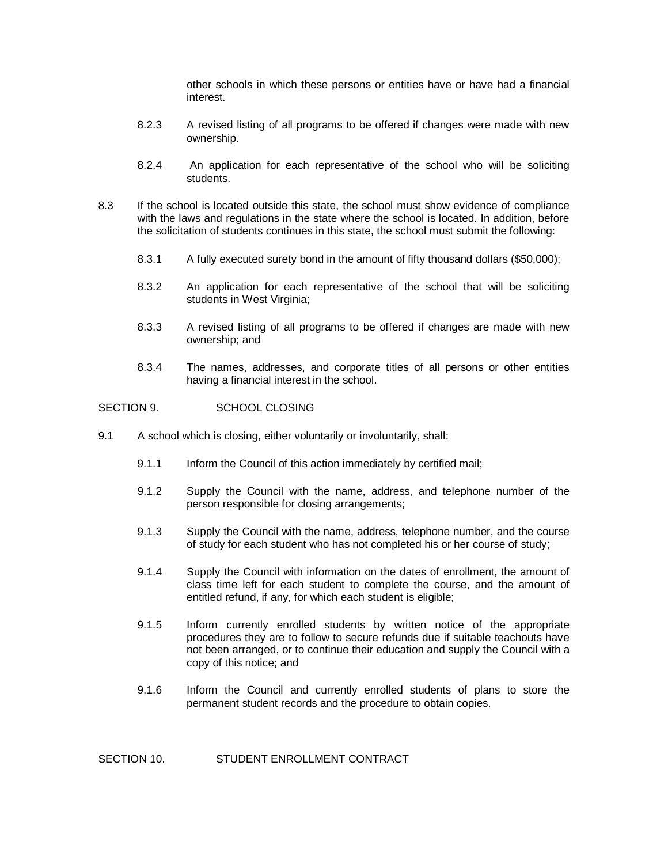other schools in which these persons or entities have or have had a financial interest.

- 8.2.3 A revised listing of all programs to be offered if changes were made with new ownership.
- 8.2.4 An application for each representative of the school who will be soliciting students.
- 8.3 If the school is located outside this state, the school must show evidence of compliance with the laws and regulations in the state where the school is located. In addition, before the solicitation of students continues in this state, the school must submit the following:
	- 8.3.1 A fully executed surety bond in the amount of fifty thousand dollars (\$50,000);
	- 8.3.2 An application for each representative of the school that will be soliciting students in West Virginia;
	- 8.3.3 A revised listing of all programs to be offered if changes are made with new ownership; and
	- 8.3.4 The names, addresses, and corporate titles of all persons or other entities having a financial interest in the school.

### SECTION 9. SCHOOL CLOSING

- 9.1 A school which is closing, either voluntarily or involuntarily, shall:
	- 9.1.1 Inform the Council of this action immediately by certified mail;
	- 9.1.2 Supply the Council with the name, address, and telephone number of the person responsible for closing arrangements;
	- 9.1.3 Supply the Council with the name, address, telephone number, and the course of study for each student who has not completed his or her course of study;
	- 9.1.4 Supply the Council with information on the dates of enrollment, the amount of class time left for each student to complete the course, and the amount of entitled refund, if any, for which each student is eligible;
	- 9.1.5 Inform currently enrolled students by written notice of the appropriate procedures they are to follow to secure refunds due if suitable teachouts have not been arranged, or to continue their education and supply the Council with a copy of this notice; and
	- 9.1.6 Inform the Council and currently enrolled students of plans to store the permanent student records and the procedure to obtain copies.

SECTION 10. STUDENT ENROLLMENT CONTRACT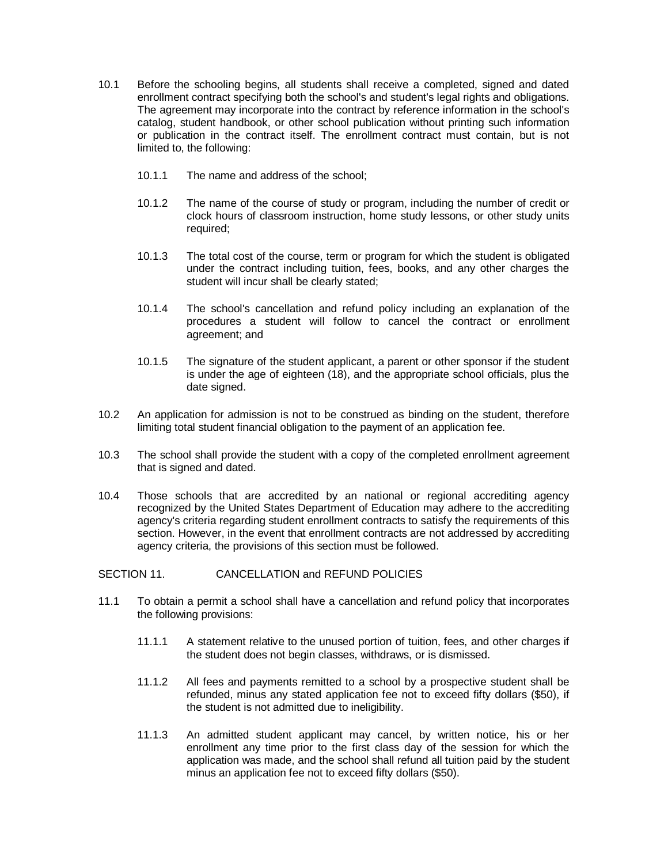- 10.1 Before the schooling begins, all students shall receive a completed, signed and dated enrollment contract specifying both the school's and student's legal rights and obligations. The agreement may incorporate into the contract by reference information in the school's catalog, student handbook, or other school publication without printing such information or publication in the contract itself. The enrollment contract must contain, but is not limited to, the following:
	- 10.1.1 The name and address of the school;
	- 10.1.2 The name of the course of study or program, including the number of credit or clock hours of classroom instruction, home study lessons, or other study units required;
	- 10.1.3 The total cost of the course, term or program for which the student is obligated under the contract including tuition, fees, books, and any other charges the student will incur shall be clearly stated;
	- 10.1.4 The school's cancellation and refund policy including an explanation of the procedures a student will follow to cancel the contract or enrollment agreement; and
	- 10.1.5 The signature of the student applicant, a parent or other sponsor if the student is under the age of eighteen (18), and the appropriate school officials, plus the date signed.
- 10.2 An application for admission is not to be construed as binding on the student, therefore limiting total student financial obligation to the payment of an application fee.
- 10.3 The school shall provide the student with a copy of the completed enrollment agreement that is signed and dated.
- 10.4 Those schools that are accredited by an national or regional accrediting agency recognized by the United States Department of Education may adhere to the accrediting agency's criteria regarding student enrollment contracts to satisfy the requirements of this section. However, in the event that enrollment contracts are not addressed by accrediting agency criteria, the provisions of this section must be followed.

# SECTION 11. CANCELLATION and REFUND POLICIES

- 11.1 To obtain a permit a school shall have a cancellation and refund policy that incorporates the following provisions:
	- 11.1.1 A statement relative to the unused portion of tuition, fees, and other charges if the student does not begin classes, withdraws, or is dismissed.
	- 11.1.2 All fees and payments remitted to a school by a prospective student shall be refunded, minus any stated application fee not to exceed fifty dollars (\$50), if the student is not admitted due to ineligibility.
	- 11.1.3 An admitted student applicant may cancel, by written notice, his or her enrollment any time prior to the first class day of the session for which the application was made, and the school shall refund all tuition paid by the student minus an application fee not to exceed fifty dollars (\$50).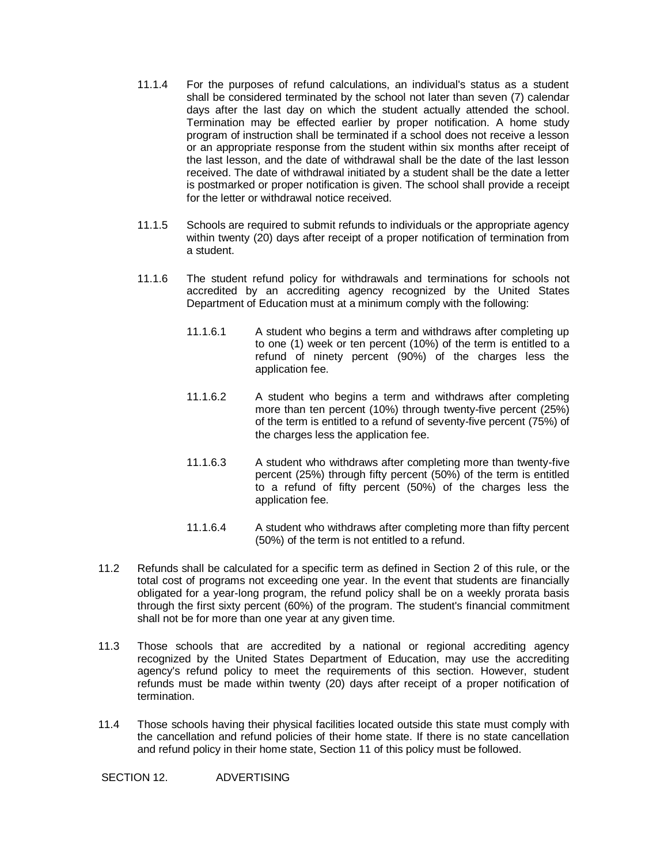- 11.1.4 For the purposes of refund calculations, an individual's status as a student shall be considered terminated by the school not later than seven (7) calendar days after the last day on which the student actually attended the school. Termination may be effected earlier by proper notification. A home study program of instruction shall be terminated if a school does not receive a lesson or an appropriate response from the student within six months after receipt of the last lesson, and the date of withdrawal shall be the date of the last lesson received. The date of withdrawal initiated by a student shall be the date a letter is postmarked or proper notification is given. The school shall provide a receipt for the letter or withdrawal notice received.
- 11.1.5 Schools are required to submit refunds to individuals or the appropriate agency within twenty (20) days after receipt of a proper notification of termination from a student.
- 11.1.6 The student refund policy for withdrawals and terminations for schools not accredited by an accrediting agency recognized by the United States Department of Education must at a minimum comply with the following:
	- 11.1.6.1 A student who begins a term and withdraws after completing up to one (1) week or ten percent (10%) of the term is entitled to a refund of ninety percent (90%) of the charges less the application fee.
	- 11.1.6.2 A student who begins a term and withdraws after completing more than ten percent (10%) through twenty-five percent (25%) of the term is entitled to a refund of seventy-five percent (75%) of the charges less the application fee.
	- 11.1.6.3 A student who withdraws after completing more than twenty-five percent (25%) through fifty percent (50%) of the term is entitled to a refund of fifty percent (50%) of the charges less the application fee.
	- 11.1.6.4 A student who withdraws after completing more than fifty percent (50%) of the term is not entitled to a refund.
- 11.2 Refunds shall be calculated for a specific term as defined in Section 2 of this rule, or the total cost of programs not exceeding one year. In the event that students are financially obligated for a year-long program, the refund policy shall be on a weekly prorata basis through the first sixty percent (60%) of the program. The student's financial commitment shall not be for more than one year at any given time.
- 11.3 Those schools that are accredited by a national or regional accrediting agency recognized by the United States Department of Education, may use the accrediting agency's refund policy to meet the requirements of this section. However, student refunds must be made within twenty (20) days after receipt of a proper notification of termination.
- 11.4 Those schools having their physical facilities located outside this state must comply with the cancellation and refund policies of their home state. If there is no state cancellation and refund policy in their home state, Section 11 of this policy must be followed.

SECTION 12. ADVERTISING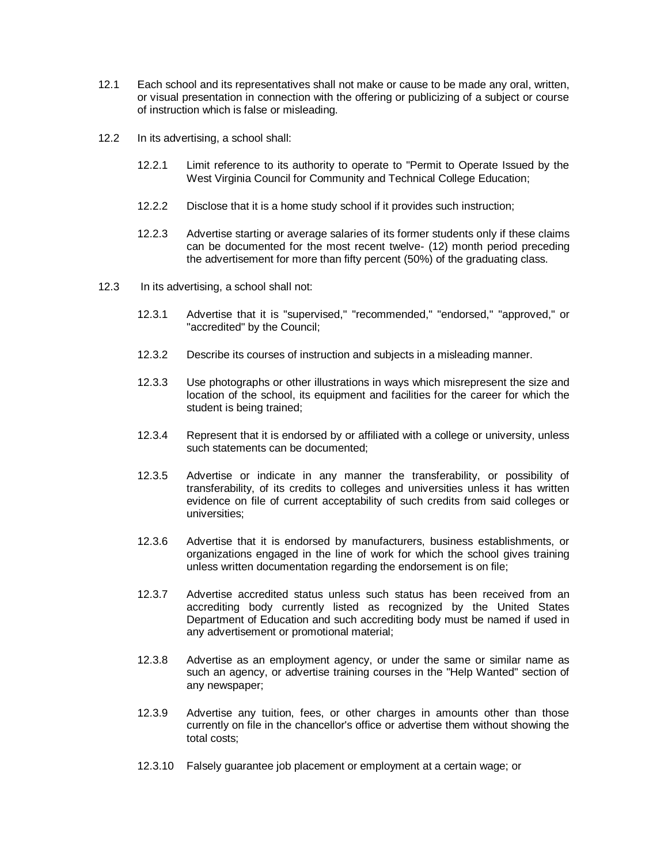- 12.1 Each school and its representatives shall not make or cause to be made any oral, written, or visual presentation in connection with the offering or publicizing of a subject or course of instruction which is false or misleading.
- 12.2 In its advertising, a school shall:
	- 12.2.1 Limit reference to its authority to operate to "Permit to Operate Issued by the West Virginia Council for Community and Technical College Education;
	- 12.2.2 Disclose that it is a home study school if it provides such instruction;
	- 12.2.3 Advertise starting or average salaries of its former students only if these claims can be documented for the most recent twelve- (12) month period preceding the advertisement for more than fifty percent (50%) of the graduating class.
- 12.3 In its advertising, a school shall not:
	- 12.3.1 Advertise that it is "supervised," "recommended," "endorsed," "approved," or "accredited" by the Council;
	- 12.3.2 Describe its courses of instruction and subjects in a misleading manner.
	- 12.3.3 Use photographs or other illustrations in ways which misrepresent the size and location of the school, its equipment and facilities for the career for which the student is being trained;
	- 12.3.4 Represent that it is endorsed by or affiliated with a college or university, unless such statements can be documented;
	- 12.3.5 Advertise or indicate in any manner the transferability, or possibility of transferability, of its credits to colleges and universities unless it has written evidence on file of current acceptability of such credits from said colleges or universities;
	- 12.3.6 Advertise that it is endorsed by manufacturers, business establishments, or organizations engaged in the line of work for which the school gives training unless written documentation regarding the endorsement is on file;
	- 12.3.7 Advertise accredited status unless such status has been received from an accrediting body currently listed as recognized by the United States Department of Education and such accrediting body must be named if used in any advertisement or promotional material;
	- 12.3.8 Advertise as an employment agency, or under the same or similar name as such an agency, or advertise training courses in the "Help Wanted" section of any newspaper;
	- 12.3.9 Advertise any tuition, fees, or other charges in amounts other than those currently on file in the chancellor's office or advertise them without showing the total costs;
	- 12.3.10 Falsely guarantee job placement or employment at a certain wage; or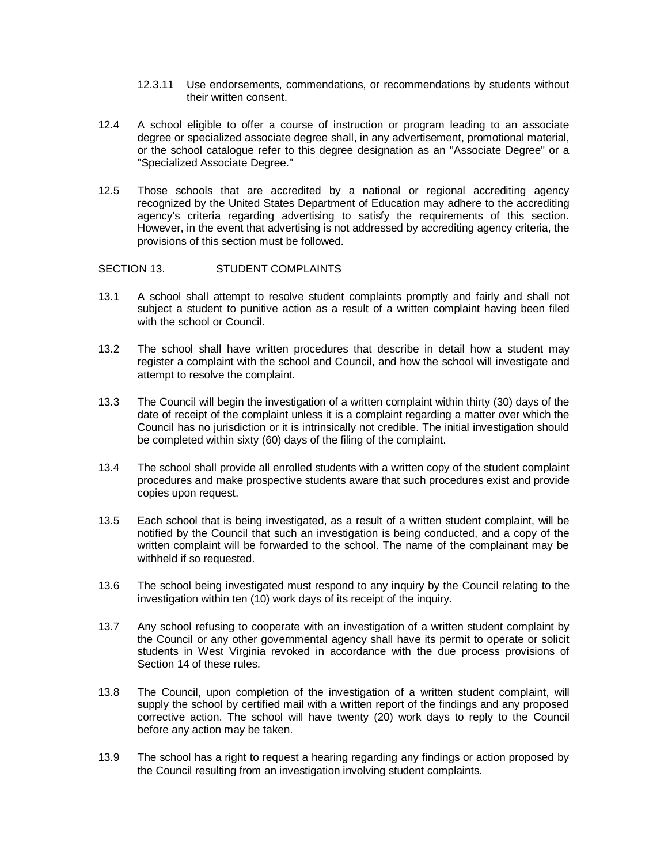- 12.3.11 Use endorsements, commendations, or recommendations by students without their written consent.
- 12.4 A school eligible to offer a course of instruction or program leading to an associate degree or specialized associate degree shall, in any advertisement, promotional material, or the school catalogue refer to this degree designation as an "Associate Degree" or a "Specialized Associate Degree."
- 12.5 Those schools that are accredited by a national or regional accrediting agency recognized by the United States Department of Education may adhere to the accrediting agency's criteria regarding advertising to satisfy the requirements of this section. However, in the event that advertising is not addressed by accrediting agency criteria, the provisions of this section must be followed.

#### SECTION 13. STUDENT COMPLAINTS

- 13.1 A school shall attempt to resolve student complaints promptly and fairly and shall not subject a student to punitive action as a result of a written complaint having been filed with the school or Council.
- 13.2 The school shall have written procedures that describe in detail how a student may register a complaint with the school and Council, and how the school will investigate and attempt to resolve the complaint.
- 13.3 The Council will begin the investigation of a written complaint within thirty (30) days of the date of receipt of the complaint unless it is a complaint regarding a matter over which the Council has no jurisdiction or it is intrinsically not credible. The initial investigation should be completed within sixty (60) days of the filing of the complaint.
- 13.4 The school shall provide all enrolled students with a written copy of the student complaint procedures and make prospective students aware that such procedures exist and provide copies upon request.
- 13.5 Each school that is being investigated, as a result of a written student complaint, will be notified by the Council that such an investigation is being conducted, and a copy of the written complaint will be forwarded to the school. The name of the complainant may be withheld if so requested.
- 13.6 The school being investigated must respond to any inquiry by the Council relating to the investigation within ten (10) work days of its receipt of the inquiry.
- 13.7 Any school refusing to cooperate with an investigation of a written student complaint by the Council or any other governmental agency shall have its permit to operate or solicit students in West Virginia revoked in accordance with the due process provisions of Section 14 of these rules.
- 13.8 The Council, upon completion of the investigation of a written student complaint, will supply the school by certified mail with a written report of the findings and any proposed corrective action. The school will have twenty (20) work days to reply to the Council before any action may be taken.
- 13.9 The school has a right to request a hearing regarding any findings or action proposed by the Council resulting from an investigation involving student complaints.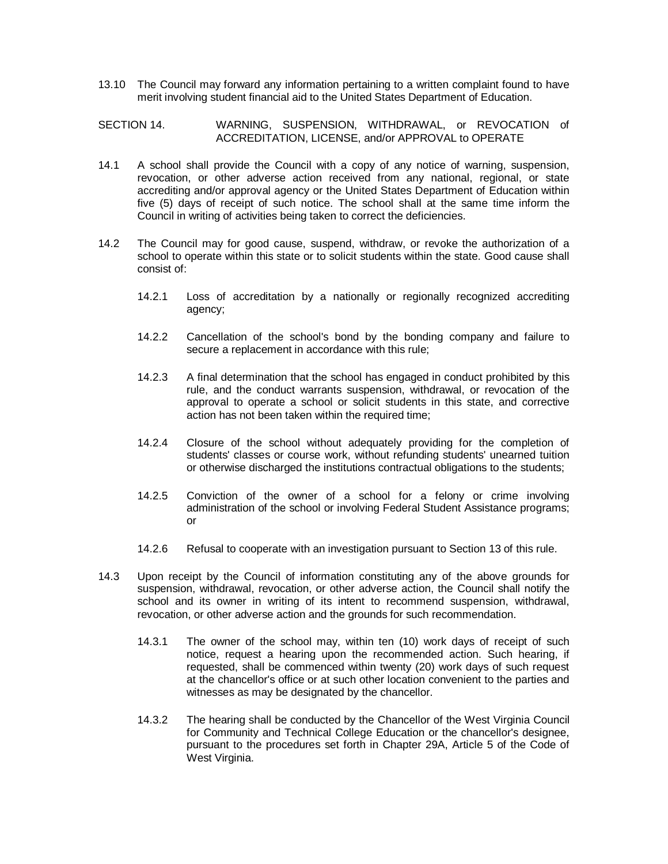13.10 The Council may forward any information pertaining to a written complaint found to have merit involving student financial aid to the United States Department of Education.

#### SECTION 14. WARNING, SUSPENSION, WITHDRAWAL, or REVOCATION of ACCREDITATION, LICENSE, and/or APPROVAL to OPERATE

- 14.1 A school shall provide the Council with a copy of any notice of warning, suspension, revocation, or other adverse action received from any national, regional, or state accrediting and/or approval agency or the United States Department of Education within five (5) days of receipt of such notice. The school shall at the same time inform the Council in writing of activities being taken to correct the deficiencies.
- 14.2 The Council may for good cause, suspend, withdraw, or revoke the authorization of a school to operate within this state or to solicit students within the state. Good cause shall consist of:
	- 14.2.1 Loss of accreditation by a nationally or regionally recognized accrediting agency;
	- 14.2.2 Cancellation of the school's bond by the bonding company and failure to secure a replacement in accordance with this rule;
	- 14.2.3 A final determination that the school has engaged in conduct prohibited by this rule, and the conduct warrants suspension, withdrawal, or revocation of the approval to operate a school or solicit students in this state, and corrective action has not been taken within the required time;
	- 14.2.4 Closure of the school without adequately providing for the completion of students' classes or course work, without refunding students' unearned tuition or otherwise discharged the institutions contractual obligations to the students;
	- 14.2.5 Conviction of the owner of a school for a felony or crime involving administration of the school or involving Federal Student Assistance programs; or
	- 14.2.6 Refusal to cooperate with an investigation pursuant to Section 13 of this rule.
- 14.3 Upon receipt by the Council of information constituting any of the above grounds for suspension, withdrawal, revocation, or other adverse action, the Council shall notify the school and its owner in writing of its intent to recommend suspension, withdrawal, revocation, or other adverse action and the grounds for such recommendation.
	- 14.3.1 The owner of the school may, within ten (10) work days of receipt of such notice, request a hearing upon the recommended action. Such hearing, if requested, shall be commenced within twenty (20) work days of such request at the chancellor's office or at such other location convenient to the parties and witnesses as may be designated by the chancellor.
	- 14.3.2 The hearing shall be conducted by the Chancellor of the West Virginia Council for Community and Technical College Education or the chancellor's designee, pursuant to the procedures set forth in Chapter 29A, Article 5 of the Code of West Virginia.